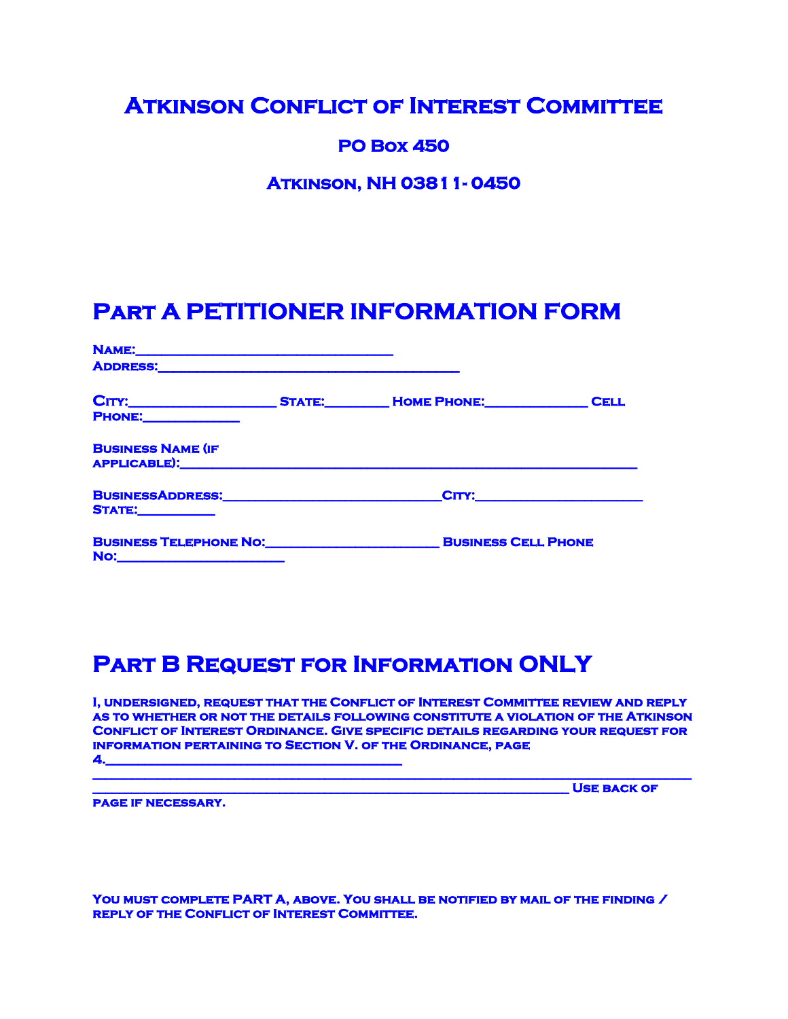#### **Atkinson Conflict of Interest Committee**

#### **PO Box 450**

**Atkinson, NH 03811- 0450** 

# **Part A PETITIONER INFORMATION FORM**

| <b>ADDRESS:</b>                                                                   |  |                    |
|-----------------------------------------------------------------------------------|--|--------------------|
| <b>PHONE:</b>                                                                     |  | <b>CELL</b>        |
| <b>BUSINESS NAME (IF</b><br>APPLICABLE): APPLICABLE                               |  |                    |
| BUSINESSADDRESS: New York District Product of Anti-<br><b>STATE:_____________</b> |  | <b>CITY:</b> CITY: |
| <b>BUSINESS TELEPHONE NO: RESISTENT BUSINESS CELL PHONE</b><br>No:                |  |                    |

# **Part B Request for Information ONLY**

**I, undersigned, request that the Conflict of Interest Committee review and reply as to whether or not the details following constitute a violation of the Atkinson Conflict of Interest Ordinance. Give specific details regarding your request for information pertaining to Section V. of the Ordinance, page 4.\_\_\_\_\_\_\_\_\_\_\_\_\_\_\_\_\_\_\_\_\_\_\_\_\_\_\_\_\_\_\_\_\_\_\_\_\_\_\_\_\_\_\_\_\_\_** 

**\_\_\_\_\_\_\_\_\_\_\_\_\_\_\_\_\_\_\_\_\_\_\_\_\_\_\_\_\_\_\_\_\_\_\_\_\_\_\_\_\_\_\_\_\_\_\_\_\_\_\_\_\_\_\_\_\_\_\_\_\_\_\_\_\_\_\_\_\_\_\_\_\_\_\_\_\_\_\_\_\_\_\_\_\_\_\_\_\_\_\_\_\_**

**USE BACK OF** 

**page if necessary.** 

**You must complete PART A, above. You shall be notified by mail of the finding / reply of the Conflict of Interest Committee.**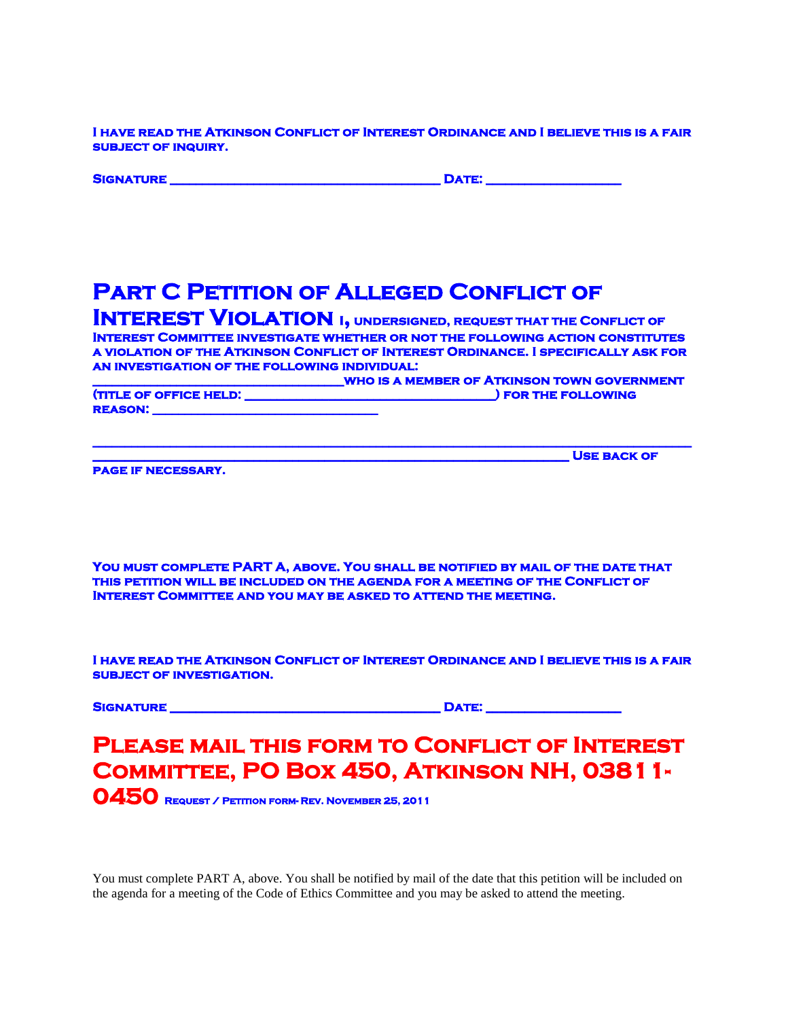**I have read the Atkinson Conflict of Interest Ordinance and I believe this is a fair subject of inquiry.** 

|  | <b>SIGNATURI</b> |  |
|--|------------------|--|

**DATE: \_\_\_\_\_\_\_\_\_\_\_\_\_\_\_\_\_\_\_\_\_\_\_\_** 

**USE BACK OF** 

# **PART C PETITION OF ALLEGED CONFLICT OF**

**INTEREST VIOLATION I, UNDERSIGNED, REQUEST THAT THE CONFLICT OF Interest Committee investigate whether or not the following action constitutes a violation of the Atkinson Conflict of Interest Ordinance. I specifically ask for an investigation of the following individual:** 

**\_\_\_\_\_\_\_\_\_\_\_\_\_\_\_\_\_\_\_\_\_\_\_\_\_\_\_\_\_\_\_\_\_\_\_\_\_\_\_who is a member of Atkinson town government (title of order of order of order of order of order order of**  $\blacksquare$ **TITLE OF OFFICE HELD:**<br>REASON:

**\_\_\_\_\_\_\_\_\_\_\_\_\_\_\_\_\_\_\_\_\_\_\_\_\_\_\_\_\_\_\_\_\_\_\_\_\_\_\_\_\_\_\_\_\_\_\_\_\_\_\_\_\_\_\_\_\_\_\_\_\_\_\_\_\_\_\_\_\_\_\_\_\_\_\_\_\_\_\_\_\_\_\_\_\_\_\_\_\_\_\_\_\_**

**page if necessary.** 

**You must complete PART A, above. You shall be notified by mail of the date that this petition will be included on the agenda for a meeting of the Conflict of Interest Committee and you may be asked to attend the meeting.** 

**I have read the Atkinson Conflict of Interest Ordinance and I believe this is a fair subject of investigation.** 

**Signature \_\_\_\_\_\_\_\_\_\_\_\_\_\_\_\_\_\_\_\_\_\_\_\_\_\_\_\_\_\_\_\_\_\_\_\_\_\_\_\_\_\_ Date: \_\_\_\_\_\_\_\_\_\_\_\_\_\_\_\_\_\_\_\_\_** 

#### **Please mail this form to Conflict of Interest Committee, PO Box 450, Atkinson NH, 03811- 0450 Request / Petition form- Rev. November 25, 2011**

You must complete PART A, above. You shall be notified by mail of the date that this petition will be included on the agenda for a meeting of the Code of Ethics Committee and you may be asked to attend the meeting.